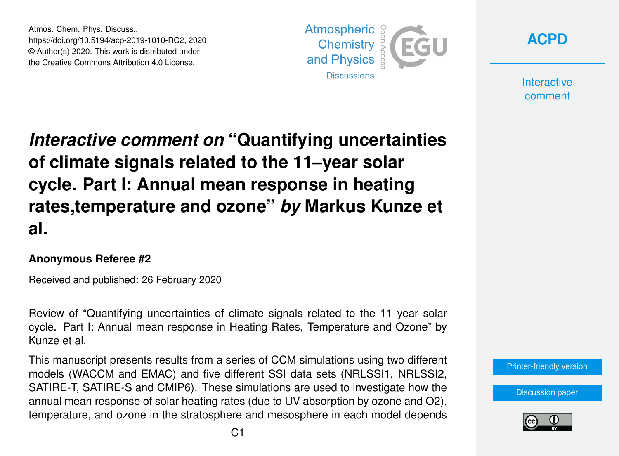Atmos. Chem. Phys. Discuss., https://doi.org/10.5194/acp-2019-1010-RC2, 2020 © Author(s) 2020. This work is distributed under the Creative Commons Attribution 4.0 License.





**Interactive** comment

## *Interactive comment on* **"Quantifying uncertainties of climate signals related to the 11–year solar cycle. Part I: Annual mean response in heating rates,temperature and ozone"** *by* **Markus Kunze et al.**

## **Anonymous Referee #2**

Received and published: 26 February 2020

Review of "Quantifying uncertainties of climate signals related to the 11 year solar cycle. Part I: Annual mean response in Heating Rates, Temperature and Ozone" by Kunze et al.

This manuscript presents results from a series of CCM simulations using two different models (WACCM and EMAC) and five different SSI data sets (NRLSSI1, NRLSSI2, SATIRE-T, SATIRE-S and CMIP6). These simulations are used to investigate how the annual mean response of solar heating rates (due to UV absorption by ozone and O2), temperature, and ozone in the stratosphere and mesosphere in each model depends



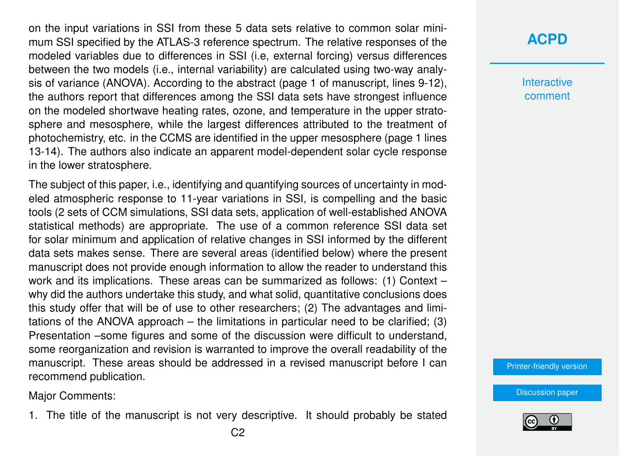on the input variations in SSI from these 5 data sets relative to common solar minimum SSI specified by the ATLAS-3 reference spectrum. The relative responses of the modeled variables due to differences in SSI (i.e, external forcing) versus differences between the two models (i.e., internal variability) are calculated using two-way analysis of variance (ANOVA). According to the abstract (page 1 of manuscript, lines 9-12), the authors report that differences among the SSI data sets have strongest influence on the modeled shortwave heating rates, ozone, and temperature in the upper stratosphere and mesosphere, while the largest differences attributed to the treatment of photochemistry, etc. in the CCMS are identified in the upper mesosphere (page 1 lines 13-14). The authors also indicate an apparent model-dependent solar cycle response in the lower stratosphere.

The subject of this paper, i.e., identifying and quantifying sources of uncertainty in modeled atmospheric response to 11-year variations in SSI, is compelling and the basic tools (2 sets of CCM simulations, SSI data sets, application of well-established ANOVA statistical methods) are appropriate. The use of a common reference SSI data set for solar minimum and application of relative changes in SSI informed by the different data sets makes sense. There are several areas (identified below) where the present manuscript does not provide enough information to allow the reader to understand this work and its implications. These areas can be summarized as follows: (1) Context – why did the authors undertake this study, and what solid, quantitative conclusions does this study offer that will be of use to other researchers; (2) The advantages and limitations of the ANOVA approach – the limitations in particular need to be clarified; (3) Presentation –some figures and some of the discussion were difficult to understand, some reorganization and revision is warranted to improve the overall readability of the manuscript. These areas should be addressed in a revised manuscript before I can recommend publication.

Major Comments:

1. The title of the manuscript is not very descriptive. It should probably be stated

**Interactive** comment

[Printer-friendly version](https://www.atmos-chem-phys-discuss.net/acp-2019-1010/acp-2019-1010-RC2-print.pdf)

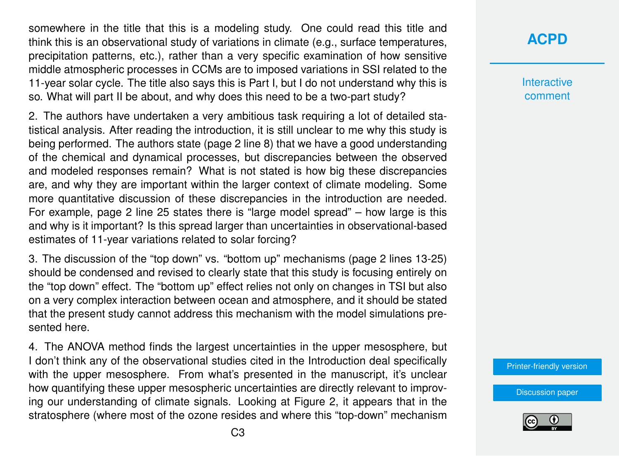somewhere in the title that this is a modeling study. One could read this title and think this is an observational study of variations in climate (e.g., surface temperatures, precipitation patterns, etc.), rather than a very specific examination of how sensitive middle atmospheric processes in CCMs are to imposed variations in SSI related to the 11-year solar cycle. The title also says this is Part I, but I do not understand why this is so. What will part II be about, and why does this need to be a two-part study?

2. The authors have undertaken a very ambitious task requiring a lot of detailed statistical analysis. After reading the introduction, it is still unclear to me why this study is being performed. The authors state (page 2 line 8) that we have a good understanding of the chemical and dynamical processes, but discrepancies between the observed and modeled responses remain? What is not stated is how big these discrepancies are, and why they are important within the larger context of climate modeling. Some more quantitative discussion of these discrepancies in the introduction are needed. For example, page 2 line 25 states there is "large model spread" – how large is this and why is it important? Is this spread larger than uncertainties in observational-based estimates of 11-year variations related to solar forcing?

3. The discussion of the "top down" vs. "bottom up" mechanisms (page 2 lines 13-25) should be condensed and revised to clearly state that this study is focusing entirely on the "top down" effect. The "bottom up" effect relies not only on changes in TSI but also on a very complex interaction between ocean and atmosphere, and it should be stated that the present study cannot address this mechanism with the model simulations presented here.

4. The ANOVA method finds the largest uncertainties in the upper mesosphere, but I don't think any of the observational studies cited in the Introduction deal specifically with the upper mesosphere. From what's presented in the manuscript, it's unclear how quantifying these upper mesospheric uncertainties are directly relevant to improving our understanding of climate signals. Looking at Figure 2, it appears that in the stratosphere (where most of the ozone resides and where this "top-down" mechanism **Interactive** comment

[Printer-friendly version](https://www.atmos-chem-phys-discuss.net/acp-2019-1010/acp-2019-1010-RC2-print.pdf)

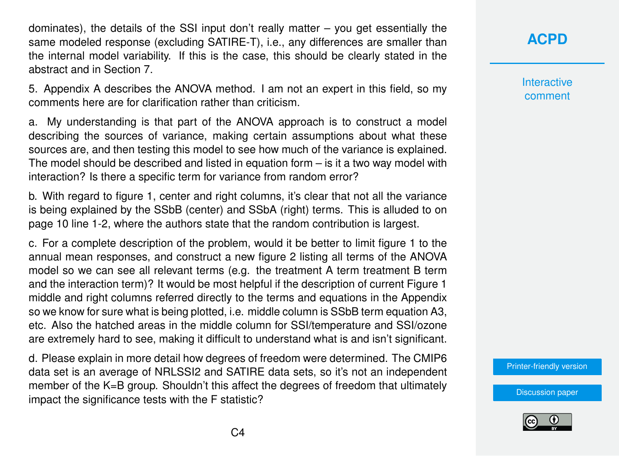dominates), the details of the SSI input don't really matter – you get essentially the same modeled response (excluding SATIRE-T), i.e., any differences are smaller than the internal model variability. If this is the case, this should be clearly stated in the abstract and in Section 7.

5. Appendix A describes the ANOVA method. I am not an expert in this field, so my comments here are for clarification rather than criticism.

a. My understanding is that part of the ANOVA approach is to construct a model describing the sources of variance, making certain assumptions about what these sources are, and then testing this model to see how much of the variance is explained. The model should be described and listed in equation form – is it a two way model with interaction? Is there a specific term for variance from random error?

b. With regard to figure 1, center and right columns, it's clear that not all the variance is being explained by the SSbB (center) and SSbA (right) terms. This is alluded to on page 10 line 1-2, where the authors state that the random contribution is largest.

c. For a complete description of the problem, would it be better to limit figure 1 to the annual mean responses, and construct a new figure 2 listing all terms of the ANOVA model so we can see all relevant terms (e.g. the treatment A term treatment B term and the interaction term)? It would be most helpful if the description of current Figure 1 middle and right columns referred directly to the terms and equations in the Appendix so we know for sure what is being plotted, i.e. middle column is SSbB term equation A3, etc. Also the hatched areas in the middle column for SSI/temperature and SSI/ozone are extremely hard to see, making it difficult to understand what is and isn't significant.

d. Please explain in more detail how degrees of freedom were determined. The CMIP6 data set is an average of NRLSSI2 and SATIRE data sets, so it's not an independent member of the K=B group. Shouldn't this affect the degrees of freedom that ultimately impact the significance tests with the F statistic?

**[ACPD](https://www.atmos-chem-phys-discuss.net/)**

**Interactive** comment

[Printer-friendly version](https://www.atmos-chem-phys-discuss.net/acp-2019-1010/acp-2019-1010-RC2-print.pdf)

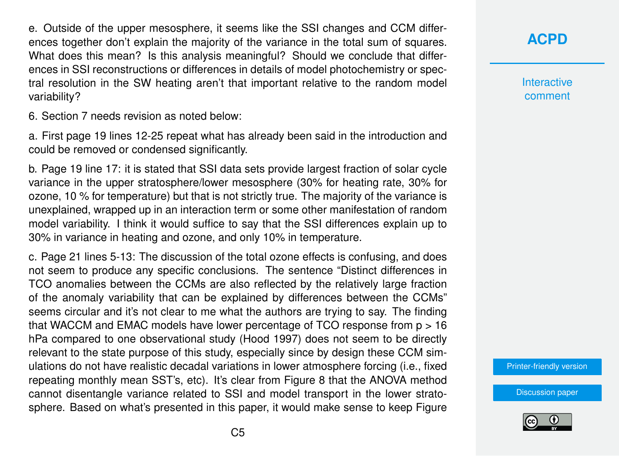e. Outside of the upper mesosphere, it seems like the SSI changes and CCM differences together don't explain the majority of the variance in the total sum of squares. What does this mean? Is this analysis meaningful? Should we conclude that differences in SSI reconstructions or differences in details of model photochemistry or spectral resolution in the SW heating aren't that important relative to the random model variability?

6. Section 7 needs revision as noted below:

a. First page 19 lines 12-25 repeat what has already been said in the introduction and could be removed or condensed significantly.

b. Page 19 line 17: it is stated that SSI data sets provide largest fraction of solar cycle variance in the upper stratosphere/lower mesosphere (30% for heating rate, 30% for ozone, 10 % for temperature) but that is not strictly true. The majority of the variance is unexplained, wrapped up in an interaction term or some other manifestation of random model variability. I think it would suffice to say that the SSI differences explain up to 30% in variance in heating and ozone, and only 10% in temperature.

c. Page 21 lines 5-13: The discussion of the total ozone effects is confusing, and does not seem to produce any specific conclusions. The sentence "Distinct differences in TCO anomalies between the CCMs are also reflected by the relatively large fraction of the anomaly variability that can be explained by differences between the CCMs" seems circular and it's not clear to me what the authors are trying to say. The finding that WACCM and EMAC models have lower percentage of TCO response from p > 16 hPa compared to one observational study (Hood 1997) does not seem to be directly relevant to the state purpose of this study, especially since by design these CCM simulations do not have realistic decadal variations in lower atmosphere forcing (i.e., fixed repeating monthly mean SST's, etc). It's clear from Figure 8 that the ANOVA method cannot disentangle variance related to SSI and model transport in the lower stratosphere. Based on what's presented in this paper, it would make sense to keep Figure **[ACPD](https://www.atmos-chem-phys-discuss.net/)**

**Interactive** comment

[Printer-friendly version](https://www.atmos-chem-phys-discuss.net/acp-2019-1010/acp-2019-1010-RC2-print.pdf)

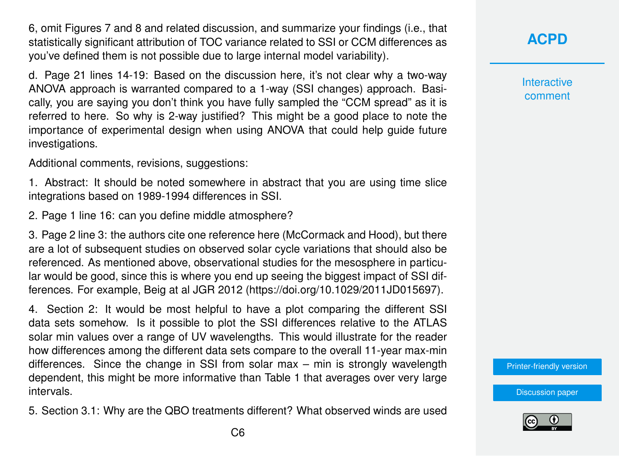6, omit Figures 7 and 8 and related discussion, and summarize your findings (i.e., that statistically significant attribution of TOC variance related to SSI or CCM differences as you've defined them is not possible due to large internal model variability).

d. Page 21 lines 14-19: Based on the discussion here, it's not clear why a two-way ANOVA approach is warranted compared to a 1-way (SSI changes) approach. Basically, you are saying you don't think you have fully sampled the "CCM spread" as it is referred to here. So why is 2-way justified? This might be a good place to note the importance of experimental design when using ANOVA that could help guide future investigations.

Additional comments, revisions, suggestions:

1. Abstract: It should be noted somewhere in abstract that you are using time slice integrations based on 1989-1994 differences in SSI.

2. Page 1 line 16: can you define middle atmosphere?

3. Page 2 line 3: the authors cite one reference here (McCormack and Hood), but there are a lot of subsequent studies on observed solar cycle variations that should also be referenced. As mentioned above, observational studies for the mesosphere in particular would be good, since this is where you end up seeing the biggest impact of SSI differences. For example, Beig at al JGR 2012 (https://doi.org/10.1029/2011JD015697).

4. Section 2: It would be most helpful to have a plot comparing the different SSI data sets somehow. Is it possible to plot the SSI differences relative to the ATLAS solar min values over a range of UV wavelengths. This would illustrate for the reader how differences among the different data sets compare to the overall 11-year max-min differences. Since the change in SSI from solar max – min is strongly wavelength dependent, this might be more informative than Table 1 that averages over very large intervals.

5. Section 3.1: Why are the QBO treatments different? What observed winds are used

**Interactive** comment

[Printer-friendly version](https://www.atmos-chem-phys-discuss.net/acp-2019-1010/acp-2019-1010-RC2-print.pdf)